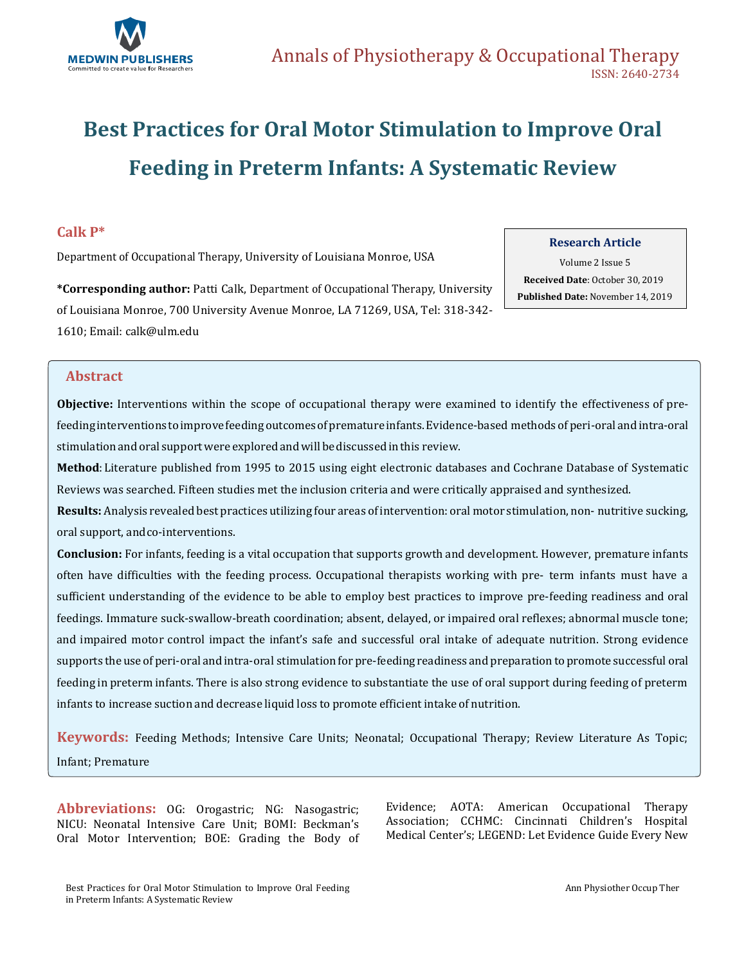

# **Best Practices for Oral Motor Stimulation to Improve Oral Feeding in Preterm Infants: A Systematic Review**

## **Calk P\***

Department of Occupational Therapy, University of Louisiana Monroe, USA

### **Research Article**

Volume 2 Issue 5  **Received Date**: October 30, 2019  **Published Date:** November 14, 2019

**\*Corresponding author:** Patti Calk, Department of Occupational Therapy, University of Louisiana Monroe, 700 University Avenue Monroe, LA 71269, USA, Tel: 318-342- 1610; Email: [calk@ulm.edu](mailto:calk@ulm.edu)

# **Abstract**

**Objective:** Interventions within the scope of occupational therapy were examined to identify the effectiveness of prefeeding interventions toimprovefeeding outcomesofprematureinfants.Evidence-based methods of peri-oral andintra-oral stimulation and oral support were explored and will be discussed in this review.

**Method**: Literature published from 1995 to 2015 using eight electronic databases and Cochrane Database of Systematic Reviews was searched. Fifteen studies met the inclusion criteria and were critically appraised and synthesized.

**Results:** Analysis revealed best practices utilizing four areas ofintervention: oral motor stimulation, non- nutritive sucking, oral support, andco-interventions.

**Conclusion:** For infants, feeding is a vital occupation that supports growth and development. However, premature infants often have difficulties with the feeding process. Occupational therapists working with pre- term infants must have a sufficient understanding of the evidence to be able to employ best practices to improve pre-feeding readiness and oral feedings. Immature suck-swallow-breath coordination; absent, delayed, or impaired oral reflexes; abnormal muscle tone; and impaired motor control impact the infant's safe and successful oral intake of adequate nutrition. Strong evidence supports the use of peri-oral and intra-oral stimulationfor pre-feeding readiness and preparation to promote successful oral feeding in preterm infants. There is also strong evidence to substantiate the use of oral support during feeding of preterm infants to increase suction and decrease liquid loss to promote efficient intake of nutrition.

**Keywords:** Feeding Methods; Intensive Care Units; Neonatal; Occupational Therapy; Review Literature As Topic; Infant; Premature

**Abbreviations:** OG: Orogastric; NG: Nasogastric; NICU: Neonatal Intensive Care Unit; BOMI: Beckman's Oral Motor Intervention; BOE: Grading the Body of

Evidence; AOTA: American Occupational Therapy Association; CCHMC: Cincinnati Children's Hospital Medical Center's; LEGEND: Let Evidence Guide Every New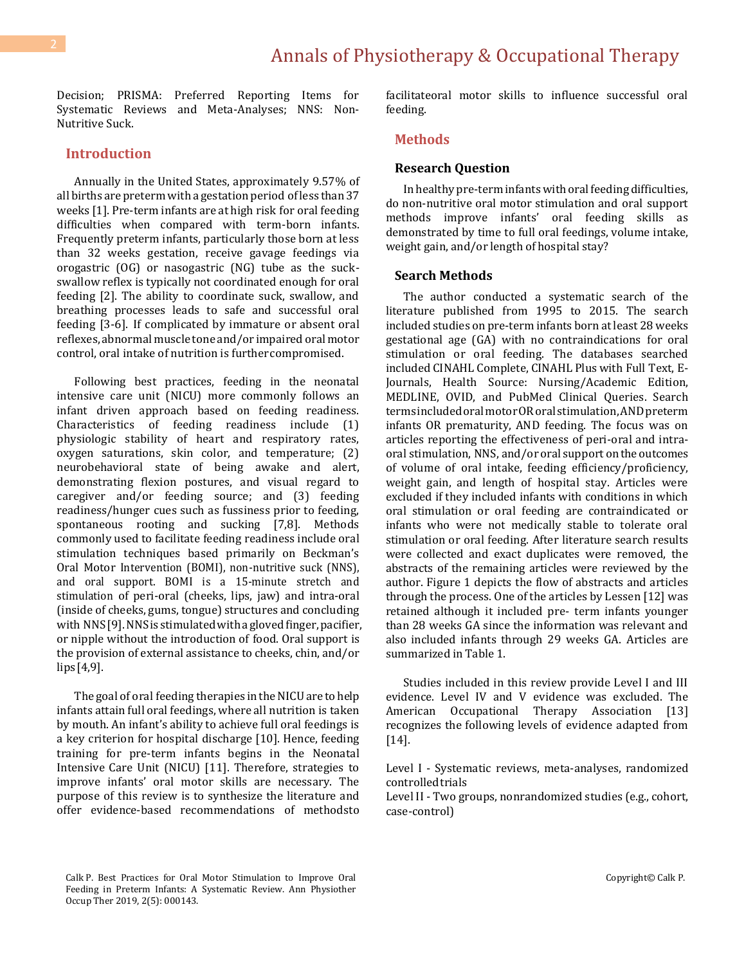Decision; PRISMA: Preferred Reporting Items for Systematic Reviews and Meta-Analyses; NNS: Non-Nutritive Suck.

### **Introduction**

Annually in the United States, approximately 9.57% of all births are preterm with a gestation period ofless than 37 weeks [1]. Pre-term infants are at high risk for oral feeding difficulties when compared with term-born infants. Frequently preterm infants, particularly those born at less than 32 weeks gestation, receive gavage feedings via orogastric (OG) or nasogastric (NG) tube as the suckswallow reflex is typically not coordinated enough for oral feeding [2]. The ability to coordinate suck, swallow, and breathing processes leads to safe and successful oral feeding [3-6]. If complicated by immature or absent oral reflexes, abnormal muscle tone and/or impaired oral motor control, oral intake of nutrition is furthercompromised.

Following best practices, feeding in the neonatal intensive care unit (NICU) more commonly follows an infant driven approach based on feeding readiness. Characteristics of feeding readiness include (1) physiologic stability of heart and respiratory rates, oxygen saturations, skin color, and temperature; (2) neurobehavioral state of being awake and alert, demonstrating flexion postures, and visual regard to caregiver and/or feeding source; and (3) feeding readiness/hunger cues such as fussiness prior to feeding, spontaneous rooting and sucking [7,8]. Methods commonly used to facilitate feeding readiness include oral stimulation techniques based primarily on Beckman's Oral Motor Intervention (BOMI), non-nutritive suck (NNS), and oral support. BOMI is a 15-minute stretch and stimulation of peri-oral (cheeks, lips, jaw) and intra-oral (inside of cheeks, gums, tongue) structures and concluding with NNS[9]. NNS is stimulated with a gloved finger, pacifier, or nipple without the introduction of food. Oral support is the provision of external assistance to cheeks, chin, and/or lips[4,9].

The goal of oral feeding therapies in the NICU are to help infants attain full oral feedings, where all nutrition is taken by mouth. An infant's ability to achieve full oral feedings is a key criterion for hospital discharge [10]. Hence, feeding training for pre-term infants begins in the Neonatal Intensive Care Unit (NICU) [11]. Therefore, strategies to improve infants' oral motor skills are necessary. The purpose of this review is to synthesize the literature and offer evidence-based recommendations of methodsto facilitateoral motor skills to influence successful oral feeding.

### **Methods**

### **Research Question**

In healthy pre-term infants with oral feeding difficulties, do non-nutritive oral motor stimulation and oral support methods improve infants' oral feeding skills as demonstrated by time to full oral feedings, volume intake, weight gain, and/or length of hospital stay?

#### **Search Methods**

The author conducted a systematic search of the literature published from 1995 to 2015. The search included studies on pre-term infants born atleast 28 weeks gestational age (GA) with no contraindications for oral stimulation or oral feeding. The databases searched included CINAHL Complete, CINAHL Plus with Full Text, E-Journals, Health Source: Nursing/Academic Edition, MEDLINE, OVID, and PubMed Clinical Queries. Search terms included oral motor OR oral stimulation, AND preterm infants OR prematurity, AND feeding. The focus was on articles reporting the effectiveness of peri-oral and intraoral stimulation, NNS, and/or oral support on the outcomes of volume of oral intake, feeding efficiency/proficiency, weight gain, and length of hospital stay. Articles were excluded if they included infants with conditions in which oral stimulation or oral feeding are contraindicated or infants who were not medically stable to tolerate oral stimulation or oral feeding. After literature search results were collected and exact duplicates were removed, the abstracts of the remaining articles were reviewed by the author. Figure 1 depicts the flow of abstracts and articles through the process. One of the articles by Lessen [12] was retained although it included pre- term infants younger than 28 weeks GA since the information was relevant and also included infants through 29 weeks GA. Articles are summarized in Table 1.

Studies included in this review provide Level I and III evidence. Level IV and V evidence was excluded. The American Occupational Therapy Association [13] recognizes the following levels of evidence adapted from [14].

Level I - Systematic reviews, meta-analyses, randomized controlledtrials

Level II - Two groups, nonrandomized studies (e.g., cohort, case-control)

Calk P. Best Practices for Oral Motor Stimulation to Improve Oral Feeding in Preterm Infants: A Systematic Review. Ann Physiother Occup Ther 2019, 2(5): 000143.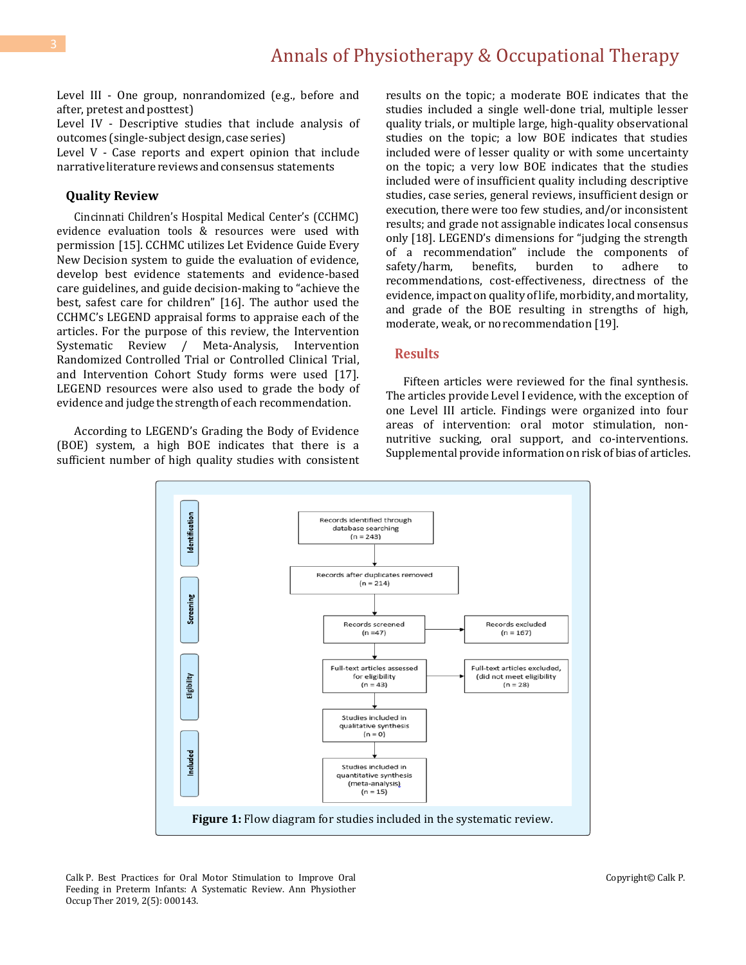Level III - One group, nonrandomized (e.g., before and after, pretest and posttest)

Level IV - Descriptive studies that include analysis of outcomes (single-subject design, case series)

Level V - Case reports and expert opinion that include narrative literature reviews and consensus statements

#### **Quality Review**

Cincinnati Children's Hospital Medical Center's (CCHMC) evidence evaluation tools & resources were used with permission [15]. CCHMC utilizes Let Evidence Guide Every New Decision system to guide the evaluation of evidence, develop best evidence statements and evidence-based care guidelines, and guide decision-making to "achieve the best, safest care for children" [16]. The author used the CCHMC's LEGEND appraisal forms to appraise each of the articles. For the purpose of this review, the Intervention Systematic Review / Meta-Analysis, Intervention Randomized Controlled Trial or Controlled Clinical Trial, and Intervention Cohort Study forms were used [17]. LEGEND resources were also used to grade the body of evidence and judge the strength of each recommendation.

According to LEGEND's Grading the Body of Evidence (BOE) system, a high BOE indicates that there is a sufficient number of high quality studies with consistent results on the topic; a moderate BOE indicates that the studies included a single well-done trial, multiple lesser quality trials, or multiple large, high-quality observational studies on the topic; a low BOE indicates that studies included were of lesser quality or with some uncertainty on the topic; a very low BOE indicates that the studies included were of insufficient quality including descriptive studies, case series, general reviews, insufficient design or execution, there were too few studies, and/or inconsistent results; and grade not assignable indicates local consensus only [18]. LEGEND's dimensions for "judging the strength of a recommendation" include the components of safety/harm, benefits, burden to adhere to recommendations, cost-effectiveness, directness of the evidence, impact on quality oflife, morbidity, and mortality, and grade of the BOE resulting in strengths of high, moderate, weak, or norecommendation [19].

### **Results**

Fifteen articles were reviewed for the final synthesis. The articles provide Level I evidence, with the exception of one Level III article. Findings were organized into four areas of intervention: oral motor stimulation, nonnutritive sucking, oral support, and co-interventions. Supplemental provide information on risk of bias of articles.

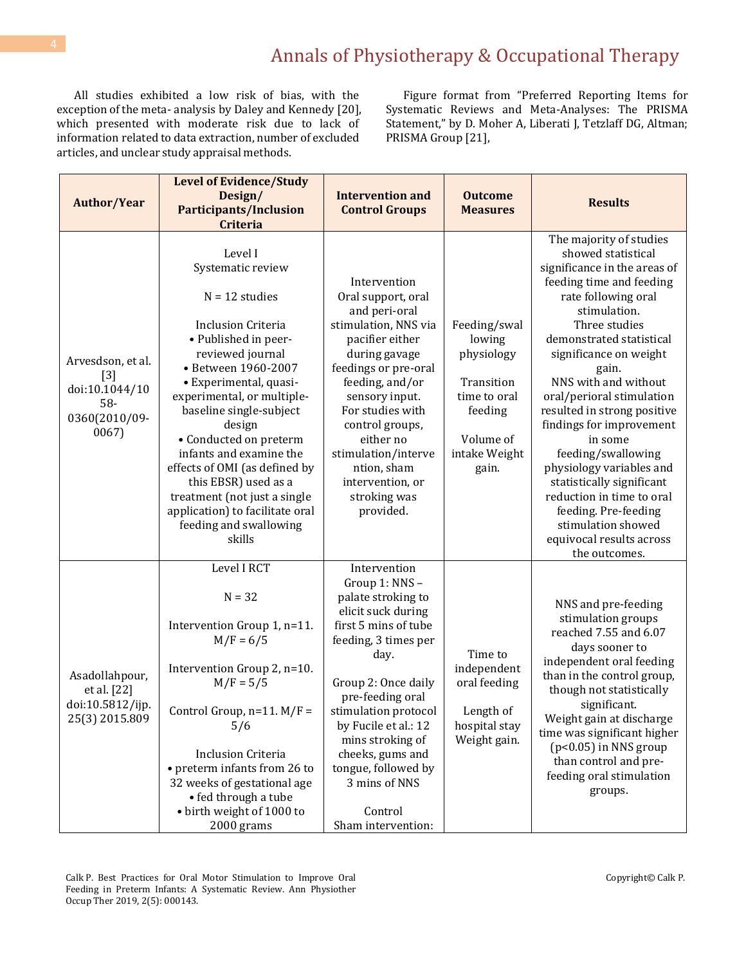All studies exhibited a low risk of bias, with the exception of the meta- analysis by Daley and Kennedy [20], which presented with moderate risk due to lack of information related to data extraction, number of excluded articles, and unclear study appraisal methods.

Figure format from "Preferred Reporting Items for Systematic Reviews and Meta-Analyses: The PRISMA Statement," by D. Moher A, Liberati J, Tetzlaff DG, Altman; PRISMA Group [21],

| <b>Author/Year</b>                                                            | <b>Level of Evidence/Study</b><br>Design/<br><b>Participants/Inclusion</b><br><b>Criteria</b>                                                                                                                                                                                                                                                                                                                                                                      | <b>Intervention and</b><br><b>Control Groups</b>                                                                                                                                                                                                                                                                                               | <b>Outcome</b><br><b>Measures</b>                                                                                    | <b>Results</b>                                                                                                                                                                                                                                                                                                                                                                                                                                                                                                                                                     |
|-------------------------------------------------------------------------------|--------------------------------------------------------------------------------------------------------------------------------------------------------------------------------------------------------------------------------------------------------------------------------------------------------------------------------------------------------------------------------------------------------------------------------------------------------------------|------------------------------------------------------------------------------------------------------------------------------------------------------------------------------------------------------------------------------------------------------------------------------------------------------------------------------------------------|----------------------------------------------------------------------------------------------------------------------|--------------------------------------------------------------------------------------------------------------------------------------------------------------------------------------------------------------------------------------------------------------------------------------------------------------------------------------------------------------------------------------------------------------------------------------------------------------------------------------------------------------------------------------------------------------------|
| Arvesdson, et al.<br>$[3]$<br>doi:10.1044/10<br>58-<br>0360(2010/09-<br>0067) | Level I<br>Systematic review<br>$N = 12$ studies<br><b>Inclusion Criteria</b><br>• Published in peer-<br>reviewed journal<br>• Between 1960-2007<br>• Experimental, quasi-<br>experimental, or multiple-<br>baseline single-subject<br>design<br>• Conducted on preterm<br>infants and examine the<br>effects of OMI (as defined by<br>this EBSR) used as a<br>treatment (not just a single<br>application) to facilitate oral<br>feeding and swallowing<br>skills | Intervention<br>Oral support, oral<br>and peri-oral<br>stimulation, NNS via<br>pacifier either<br>during gavage<br>feedings or pre-oral<br>feeding, and/or<br>sensory input.<br>For studies with<br>control groups,<br>either no<br>stimulation/interve<br>ntion, sham<br>intervention, or<br>stroking was<br>provided.                        | Feeding/swal<br>lowing<br>physiology<br>Transition<br>time to oral<br>feeding<br>Volume of<br>intake Weight<br>gain. | The majority of studies<br>showed statistical<br>significance in the areas of<br>feeding time and feeding<br>rate following oral<br>stimulation.<br>Three studies<br>demonstrated statistical<br>significance on weight<br>gain.<br>NNS with and without<br>oral/perioral stimulation<br>resulted in strong positive<br>findings for improvement<br>in some<br>feeding/swallowing<br>physiology variables and<br>statistically significant<br>reduction in time to oral<br>feeding. Pre-feeding<br>stimulation showed<br>equivocal results across<br>the outcomes. |
| Asadollahpour,<br>et al. [22]<br>doi:10.5812/ijp.<br>25(3) 2015.809           | Level I RCT<br>$N = 32$<br>Intervention Group 1, n=11.<br>$M/F = 6/5$<br>Intervention Group 2, n=10.<br>$M/F = 5/5$<br>Control Group, $n=11$ . $M/F =$<br>5/6<br><b>Inclusion Criteria</b><br>• preterm infants from 26 to<br>32 weeks of gestational age<br>• fed through a tube<br>· birth weight of 1000 to<br>2000 grams                                                                                                                                       | Intervention<br>Group 1: NNS -<br>palate stroking to<br>elicit suck during<br>first 5 mins of tube<br>feeding, 3 times per<br>day.<br>Group 2: Once daily<br>pre-feeding oral<br>stimulation protocol<br>by Fucile et al.: 12<br>mins stroking of<br>cheeks, gums and<br>tongue, followed by<br>3 mins of NNS<br>Control<br>Sham intervention: | Time to<br>independent<br>oral feeding<br>Length of<br>hospital stay<br>Weight gain.                                 | NNS and pre-feeding<br>stimulation groups<br>reached 7.55 and 6.07<br>days sooner to<br>independent oral feeding<br>than in the control group,<br>though not statistically<br>significant.<br>Weight gain at discharge<br>time was significant higher<br>$(p<0.05)$ in NNS group<br>than control and pre-<br>feeding oral stimulation<br>groups.                                                                                                                                                                                                                   |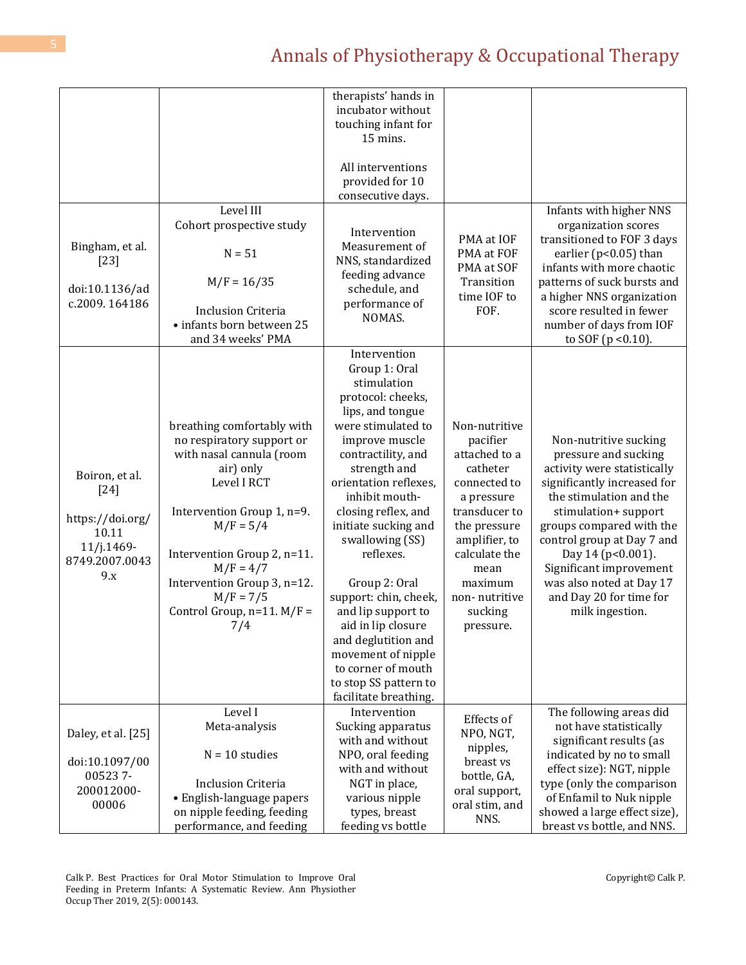|                           |                                                | therapists' hands in<br>incubator without   |                               |                                                          |
|---------------------------|------------------------------------------------|---------------------------------------------|-------------------------------|----------------------------------------------------------|
|                           |                                                | touching infant for<br>15 mins.             |                               |                                                          |
|                           |                                                |                                             |                               |                                                          |
|                           |                                                | All interventions<br>provided for 10        |                               |                                                          |
|                           |                                                | consecutive days.                           |                               |                                                          |
|                           | Level III                                      |                                             |                               | Infants with higher NNS                                  |
|                           | Cohort prospective study                       | Intervention                                | PMA at IOF                    | organization scores<br>transitioned to FOF 3 days        |
| Bingham, et al.<br>$[23]$ | $N = 51$                                       | Measurement of<br>NNS, standardized         | PMA at FOF                    | earlier ( $p<0.05$ ) than                                |
| doi:10.1136/ad            | $M/F = 16/35$                                  | feeding advance<br>schedule, and            | PMA at SOF<br>Transition      | infants with more chaotic<br>patterns of suck bursts and |
| c.2009.164186             |                                                | performance of                              | time IOF to                   | a higher NNS organization                                |
|                           | <b>Inclusion Criteria</b>                      | NOMAS.                                      | FOF.                          | score resulted in fewer                                  |
|                           | · infants born between 25<br>and 34 weeks' PMA |                                             |                               | number of days from IOF<br>to SOF $(p < 0.10)$ .         |
|                           |                                                | Intervention                                |                               |                                                          |
|                           |                                                | Group 1: Oral                               |                               |                                                          |
|                           |                                                | stimulation                                 |                               |                                                          |
|                           |                                                | protocol: cheeks,<br>lips, and tongue       |                               |                                                          |
|                           | breathing comfortably with                     | were stimulated to                          | Non-nutritive                 |                                                          |
|                           | no respiratory support or                      | improve muscle                              | pacifier                      | Non-nutritive sucking                                    |
|                           | with nasal cannula (room                       | contractility, and                          | attached to a                 | pressure and sucking                                     |
| Boiron, et al.            | air) only                                      | strength and                                | catheter                      | activity were statistically                              |
| $[24]$                    | Level I RCT                                    | orientation reflexes,                       | connected to                  | significantly increased for                              |
|                           |                                                | inhibit mouth-                              | a pressure                    | the stimulation and the                                  |
| https://doi.org/          | Intervention Group 1, n=9.<br>$M/F = 5/4$      | closing reflex, and<br>initiate sucking and | transducer to<br>the pressure | stimulation+ support<br>groups compared with the         |
| 10.11                     |                                                | swallowing (SS)                             | amplifier, to                 | control group at Day 7 and                               |
| $11/j.1469-$              | Intervention Group 2, n=11.                    | reflexes.                                   | calculate the                 | Day 14 (p<0.001).                                        |
| 8749.2007.0043<br>9.x     | $M/F = 4/7$                                    |                                             | mean                          | Significant improvement                                  |
|                           | Intervention Group 3, n=12.                    | Group 2: Oral                               | maximum                       | was also noted at Day 17                                 |
|                           | $M/F = 7/5$                                    | support: chin, cheek,                       | non-nutritive                 | and Day 20 for time for                                  |
|                           | Control Group, $n=11$ . $M/F =$                | and lip support to<br>aid in lip closure    | sucking                       | milk ingestion.                                          |
|                           | 7/4                                            | and deglutition and                         | pressure.                     |                                                          |
|                           |                                                | movement of nipple                          |                               |                                                          |
|                           |                                                | to corner of mouth                          |                               |                                                          |
|                           |                                                | to stop SS pattern to                       |                               |                                                          |
|                           |                                                | facilitate breathing.                       |                               |                                                          |
|                           | Level I<br>Meta-analysis                       | Intervention<br>Sucking apparatus           | Effects of                    | The following areas did<br>not have statistically        |
| Daley, et al. [25]        |                                                | with and without                            | NPO, NGT,                     | significant results (as                                  |
|                           | $N = 10$ studies                               | NPO, oral feeding                           | nipples,                      | indicated by no to small                                 |
| doi:10.1097/00<br>005237- |                                                | with and without                            | breast vs<br>bottle, GA,      | effect size): NGT, nipple                                |
| 200012000-                | <b>Inclusion Criteria</b>                      | NGT in place,                               | oral support,                 | type (only the comparison                                |
| 00006                     | • English-language papers                      | various nipple                              | oral stim, and                | of Enfamil to Nuk nipple                                 |
|                           | on nipple feeding, feeding                     | types, breast                               | NNS.                          | showed a large effect size),                             |
|                           | performance, and feeding                       | feeding vs bottle                           |                               | breast vs bottle, and NNS.                               |

Calk P. Best Practices for Oral Motor Stimulation to Improve Oral Feeding in Preterm Infants: A Systematic Review. Ann Physiother Occup Ther 2019, 2(5): 000143.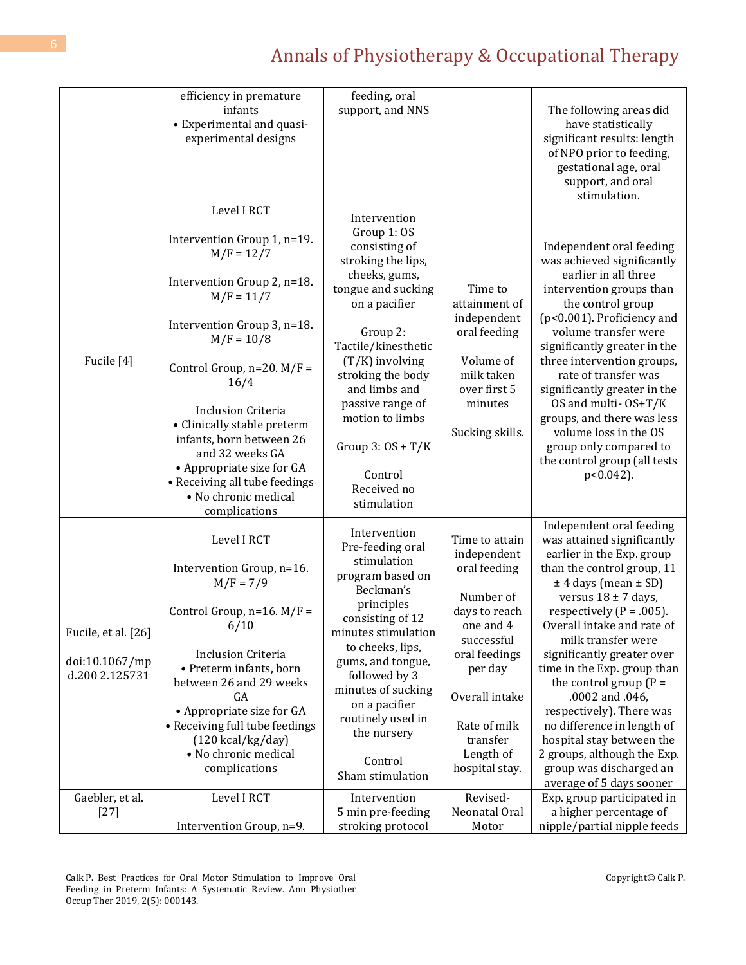|                                  | efficiency in premature<br>infants                                                                                                                                                                                           | feeding, oral<br>support, and NNS                                                                                                                                                                |                                                                                                        | The following areas did                                                                                                                                                                                                                                                                                                           |
|----------------------------------|------------------------------------------------------------------------------------------------------------------------------------------------------------------------------------------------------------------------------|--------------------------------------------------------------------------------------------------------------------------------------------------------------------------------------------------|--------------------------------------------------------------------------------------------------------|-----------------------------------------------------------------------------------------------------------------------------------------------------------------------------------------------------------------------------------------------------------------------------------------------------------------------------------|
|                                  | • Experimental and quasi-<br>experimental designs                                                                                                                                                                            |                                                                                                                                                                                                  |                                                                                                        | have statistically<br>significant results: length<br>of NPO prior to feeding,<br>gestational age, oral<br>support, and oral                                                                                                                                                                                                       |
|                                  | Level I RCT                                                                                                                                                                                                                  |                                                                                                                                                                                                  |                                                                                                        | stimulation.                                                                                                                                                                                                                                                                                                                      |
|                                  | Intervention Group 1, n=19.<br>$M/F = 12/7$<br>Intervention Group 2, n=18.<br>$M/F = 11/7$                                                                                                                                   | Intervention<br>Group 1: OS<br>consisting of<br>stroking the lips,<br>cheeks, gums,<br>tongue and sucking<br>on a pacifier                                                                       | Time to<br>attainment of                                                                               | Independent oral feeding<br>was achieved significantly<br>earlier in all three<br>intervention groups than<br>the control group                                                                                                                                                                                                   |
| Fucile [4]                       | Intervention Group 3, n=18.<br>$M/F = 10/8$<br>Control Group, $n=20$ . $M/F =$                                                                                                                                               | Group 2:<br>Tactile/kinesthetic<br>$(T/K)$ involving<br>stroking the body<br>and limbs and<br>passive range of<br>motion to limbs<br>Group $3:OS + T/K$<br>Control<br>Received no<br>stimulation | independent<br>oral feeding<br>Volume of<br>milk taken<br>over first 5<br>minutes<br>Sucking skills.   | (p<0.001). Proficiency and<br>volume transfer were<br>significantly greater in the<br>three intervention groups,<br>rate of transfer was<br>significantly greater in the<br>OS and multi- OS+T/K<br>groups, and there was less<br>volume loss in the OS<br>group only compared to<br>the control group (all tests<br>$p<0.042$ ). |
|                                  | 16/4<br><b>Inclusion Criteria</b><br>• Clinically stable preterm<br>infants, born between 26<br>and 32 weeks GA<br>• Appropriate size for GA<br>• Receiving all tube feedings<br>• No chronic medical<br>complications       |                                                                                                                                                                                                  |                                                                                                        |                                                                                                                                                                                                                                                                                                                                   |
| Fucile, et al. [26]              | Level I RCT<br>Intervention Group, n=16.<br>$M/F = 7/9$<br>Control Group, $n=16$ . $M/F =$<br>6/10                                                                                                                           | Intervention<br>Pre-feeding oral<br>stimulation<br>program based on<br>Beckman's<br>principles<br>consisting of 12<br>minutes stimulation                                                        | Time to attain<br>independent<br>oral feeding<br>Number of<br>days to reach<br>one and 4<br>successful | Independent oral feeding<br>was attained significantly<br>earlier in the Exp. group<br>than the control group, 11<br>$±$ 4 days (mean $±$ SD)<br>versus $18 \pm 7$ days,<br>respectively ( $P = .005$ ).<br>Overall intake and rate of<br>milk transfer were                                                                      |
| doi:10.1067/mp<br>d.200 2.125731 | <b>Inclusion Criteria</b><br>• Preterm infants, born<br>between 26 and 29 weeks<br>GA<br>• Appropriate size for GA<br>• Receiving full tube feedings<br>$(120 \text{ kcal/kg/day})$<br>• No chronic medical<br>complications | to cheeks, lips,<br>gums, and tongue,<br>followed by 3<br>minutes of sucking<br>on a pacifier<br>routinely used in<br>the nursery<br>Control<br>Sham stimulation                                 | oral feedings<br>per day<br>Overall intake<br>Rate of milk<br>transfer<br>Length of<br>hospital stay.  | significantly greater over<br>time in the Exp. group than<br>the control group $(P =$<br>.0002 and .046,<br>respectively). There was<br>no difference in length of<br>hospital stay between the<br>2 groups, although the Exp.<br>group was discharged an<br>average of 5 days sooner                                             |
| Gaebler, et al.<br>$[27]$        | Level I RCT<br>Intervention Group, n=9.                                                                                                                                                                                      | Intervention<br>5 min pre-feeding<br>stroking protocol                                                                                                                                           | Revised-<br>Neonatal Oral<br>Motor                                                                     | Exp. group participated in<br>a higher percentage of<br>nipple/partial nipple feeds                                                                                                                                                                                                                                               |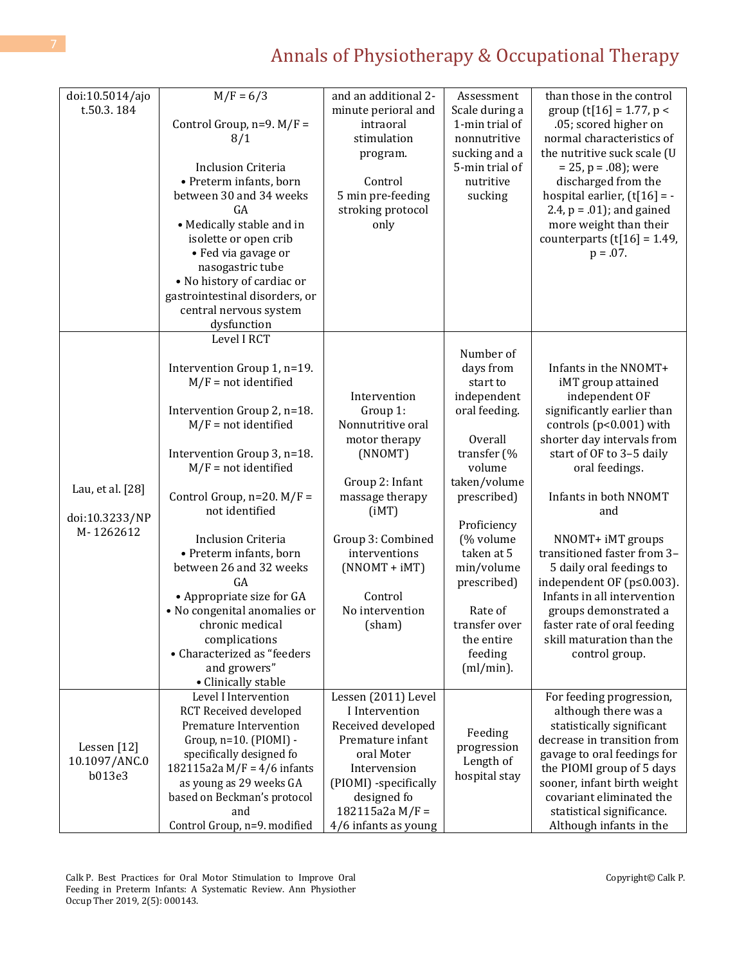| doi:10.5014/ajo                        | $M/F = 6/3$                                           | and an additional 2-                   | Assessment               | than those in the control                                |
|----------------------------------------|-------------------------------------------------------|----------------------------------------|--------------------------|----------------------------------------------------------|
| t.50.3.184                             |                                                       | minute perioral and                    | Scale during a           | group $(t[16] = 1.77, p <$                               |
|                                        | Control Group, $n=9$ . $M/F =$                        | intraoral                              | 1-min trial of           | .05; scored higher on                                    |
|                                        | 8/1                                                   | stimulation                            | nonnutritive             | normal characteristics of                                |
|                                        |                                                       | program.                               | sucking and a            | the nutritive suck scale (U                              |
|                                        | <b>Inclusion Criteria</b>                             |                                        | 5-min trial of           | $= 25$ , p = .08); were                                  |
|                                        | • Preterm infants, born                               | Control                                | nutritive                | discharged from the                                      |
|                                        | between 30 and 34 weeks                               | 5 min pre-feeding                      | sucking                  | hospital earlier, $(t[16] = -$                           |
|                                        | GA                                                    | stroking protocol                      |                          | 2.4, $p = .01$ ; and gained                              |
|                                        | • Medically stable and in                             | only                                   |                          | more weight than their                                   |
|                                        | isolette or open crib                                 |                                        |                          | counterparts $(t[16] = 1.49)$ ,                          |
|                                        | • Fed via gavage or                                   |                                        |                          | $p = .07$ .                                              |
|                                        | nasogastric tube<br>• No history of cardiac or        |                                        |                          |                                                          |
|                                        | gastrointestinal disorders, or                        |                                        |                          |                                                          |
|                                        | central nervous system                                |                                        |                          |                                                          |
|                                        | dysfunction                                           |                                        |                          |                                                          |
|                                        | Level I RCT                                           |                                        |                          |                                                          |
|                                        |                                                       |                                        | Number of                |                                                          |
|                                        | Intervention Group 1, n=19.                           |                                        | days from                | Infants in the NNOMT+                                    |
|                                        | $M/F = not identified$                                |                                        | start to                 | iMT group attained                                       |
|                                        |                                                       | Intervention                           | independent              | independent OF                                           |
|                                        | Intervention Group 2, n=18.                           | Group 1:                               | oral feeding.            | significantly earlier than                               |
|                                        | $M/F = not identified$                                | Nonnutritive oral                      |                          | controls ( $p<0.001$ ) with                              |
|                                        |                                                       | motor therapy                          | Overall                  | shorter day intervals from                               |
|                                        | Intervention Group 3, n=18.                           | (NNOMT)                                | transfer (%              | start of OF to 3-5 daily                                 |
|                                        | $M/F = not identified$                                |                                        | volume                   | oral feedings.                                           |
| Lau, et al. [28]                       |                                                       | Group 2: Infant                        | taken/volume             |                                                          |
|                                        | Control Group, $n=20$ . $M/F =$                       | massage therapy                        | prescribed)              | Infants in both NNOMT                                    |
| doi:10.3233/NP                         | not identified                                        | (iMT)                                  |                          | and                                                      |
| M-1262612                              | <b>Inclusion Criteria</b>                             | Group 3: Combined                      | Proficiency<br>(% volume | NNOMT+ iMT groups                                        |
|                                        | • Preterm infants, born                               | interventions                          | taken at 5               | transitioned faster from 3-                              |
|                                        | between 26 and 32 weeks                               | $(NNOMT + iMT)$                        | min/volume               | 5 daily oral feedings to                                 |
|                                        | GA                                                    |                                        | prescribed)              | independent OF (p≤0.003).                                |
|                                        | • Appropriate size for GA                             | Control                                |                          | Infants in all intervention                              |
|                                        | • No congenital anomalies or                          | No intervention                        | Rate of                  | groups demonstrated a                                    |
|                                        | chronic medical                                       | (sham)                                 | transfer over            | faster rate of oral feeding                              |
|                                        | complications                                         |                                        | the entire               | skill maturation than the                                |
|                                        | • Characterized as "feeders                           |                                        | feeding                  | control group.                                           |
|                                        | and growers"                                          |                                        | $(ml/min)$ .             |                                                          |
|                                        | • Clinically stable                                   |                                        |                          |                                                          |
| Lessen [12]<br>10.1097/ANC.0<br>b013e3 | Level I Intervention                                  | Lessen (2011) Level                    |                          | For feeding progression,                                 |
|                                        | <b>RCT Received developed</b>                         | I Intervention                         |                          | although there was a                                     |
|                                        | Premature Intervention                                | Received developed<br>Premature infant | Feeding                  | statistically significant<br>decrease in transition from |
|                                        | Group, $n=10$ . (PIOMI) -<br>specifically designed fo | oral Moter                             | progression              | gavage to oral feedings for                              |
|                                        | 182115a2a M/F = $4/6$ infants                         | Intervension                           | Length of                | the PIOMI group of 5 days                                |
|                                        | as young as 29 weeks GA                               | (PIOMI) -specifically                  | hospital stay            | sooner, infant birth weight                              |
|                                        | based on Beckman's protocol                           | designed fo                            |                          | covariant eliminated the                                 |
|                                        | and                                                   | 182115a2a M/F =                        |                          | statistical significance.                                |
|                                        | Control Group, n=9. modified                          | 4/6 infants as young                   |                          | Although infants in the                                  |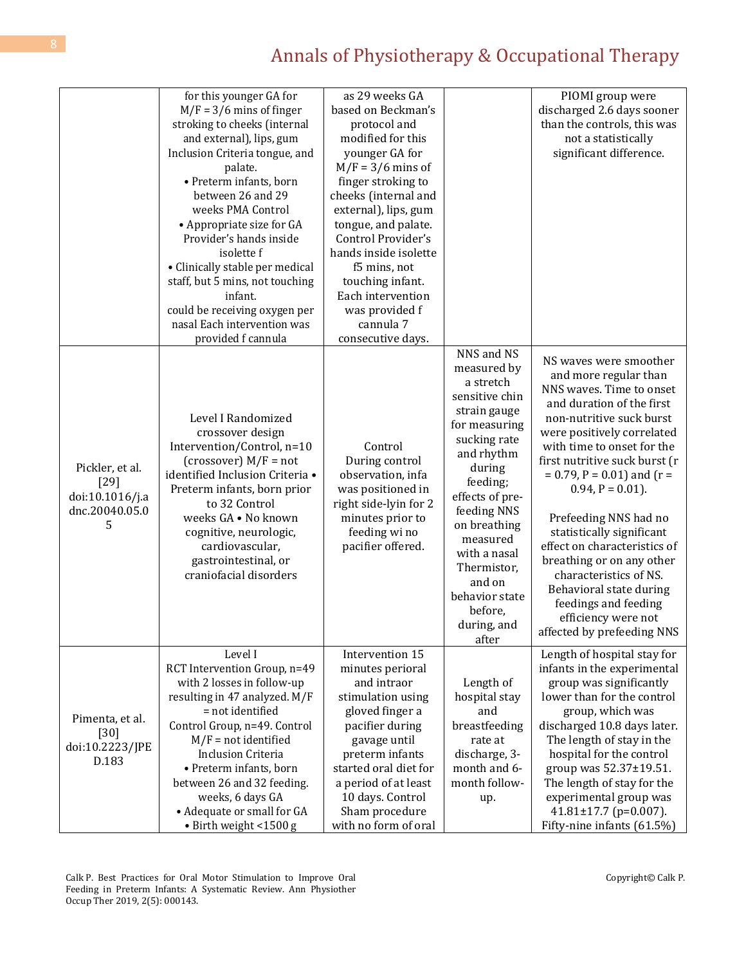|                                                                     | for this younger GA for<br>$M/F = 3/6$ mins of finger<br>stroking to cheeks (internal<br>and external), lips, gum<br>Inclusion Criteria tongue, and<br>palate.<br>• Preterm infants, born<br>between 26 and 29<br>weeks PMA Control<br>• Appropriate size for GA<br>Provider's hands inside<br>isolette f<br>• Clinically stable per medical<br>staff, but 5 mins, not touching<br>infant.<br>could be receiving oxygen per<br>nasal Each intervention was<br>provided f cannula | as 29 weeks GA<br>based on Beckman's<br>protocol and<br>modified for this<br>younger GA for<br>$M/F = 3/6$ mins of<br>finger stroking to<br>cheeks (internal and<br>external), lips, gum<br>tongue, and palate.<br>Control Provider's<br>hands inside isolette<br>f5 mins, not<br>touching infant.<br>Each intervention<br>was provided f<br>cannula 7<br>consecutive days. |                                                                                                                                                                                                                                                                                                           | PIOMI group were<br>discharged 2.6 days sooner<br>than the controls, this was<br>not a statistically<br>significant difference.                                                                                                                                                                                                                                                                                                                                                                                                                |
|---------------------------------------------------------------------|----------------------------------------------------------------------------------------------------------------------------------------------------------------------------------------------------------------------------------------------------------------------------------------------------------------------------------------------------------------------------------------------------------------------------------------------------------------------------------|-----------------------------------------------------------------------------------------------------------------------------------------------------------------------------------------------------------------------------------------------------------------------------------------------------------------------------------------------------------------------------|-----------------------------------------------------------------------------------------------------------------------------------------------------------------------------------------------------------------------------------------------------------------------------------------------------------|------------------------------------------------------------------------------------------------------------------------------------------------------------------------------------------------------------------------------------------------------------------------------------------------------------------------------------------------------------------------------------------------------------------------------------------------------------------------------------------------------------------------------------------------|
| Pickler, et al.<br>$[29]$<br>doi:10.1016/j.a<br>dnc.20040.05.0<br>5 | Level I Randomized<br>crossover design<br>Intervention/Control, n=10<br>(crossover) $M/F = not$<br>identified Inclusion Criteria .<br>Preterm infants, born prior<br>to 32 Control<br>weeks GA . No known<br>cognitive, neurologic,<br>cardiovascular,<br>gastrointestinal, or<br>craniofacial disorders                                                                                                                                                                         | Control<br>During control<br>observation, infa<br>was positioned in<br>right side-lyin for 2<br>minutes prior to<br>feeding wi no<br>pacifier offered.                                                                                                                                                                                                                      | NNS and NS<br>measured by<br>a stretch<br>sensitive chin<br>strain gauge<br>for measuring<br>sucking rate<br>and rhythm<br>during<br>feeding;<br>effects of pre-<br>feeding NNS<br>on breathing<br>measured<br>with a nasal<br>Thermistor,<br>and on<br>behavior state<br>before,<br>during, and<br>after | NS waves were smoother<br>and more regular than<br>NNS waves. Time to onset<br>and duration of the first<br>non-nutritive suck burst<br>were positively correlated<br>with time to onset for the<br>first nutritive suck burst (r<br>$= 0.79$ , P = 0.01) and (r =<br>$0.94, P = 0.01$ ).<br>Prefeeding NNS had no<br>statistically significant<br>effect on characteristics of<br>breathing or on any other<br>characteristics of NS.<br>Behavioral state during<br>feedings and feeding<br>efficiency were not<br>affected by prefeeding NNS |
| Pimenta, et al.<br>$[30]$<br>doi:10.2223/JPE<br>D.183               | Level I<br>RCT Intervention Group, n=49<br>with 2 losses in follow-up<br>resulting in 47 analyzed. M/F<br>= not identified<br>Control Group, n=49. Control<br>$M/F = not identified$<br><b>Inclusion Criteria</b><br>• Preterm infants, born<br>between 26 and 32 feeding.<br>weeks, 6 days GA<br>• Adequate or small for GA<br>· Birth weight <1500 g                                                                                                                           | Intervention 15<br>minutes perioral<br>and intraor<br>stimulation using<br>gloved finger a<br>pacifier during<br>gavage until<br>preterm infants<br>started oral diet for<br>a period of at least<br>10 days. Control<br>Sham procedure<br>with no form of oral                                                                                                             | Length of<br>hospital stay<br>and<br>breastfeeding<br>rate at<br>discharge, 3-<br>month and 6-<br>month follow-<br>up.                                                                                                                                                                                    | Length of hospital stay for<br>infants in the experimental<br>group was significantly<br>lower than for the control<br>group, which was<br>discharged 10.8 days later.<br>The length of stay in the<br>hospital for the control<br>group was 52.37±19.51.<br>The length of stay for the<br>experimental group was<br>$41.81 \pm 17.7$ (p=0.007).<br>Fifty-nine infants (61.5%)                                                                                                                                                                 |

Calk P. Best Practices for Oral Motor Stimulation to Improve Oral Feeding in Preterm Infants: A Systematic Review. Ann Physiother Occup Ther 2019, 2(5): 000143.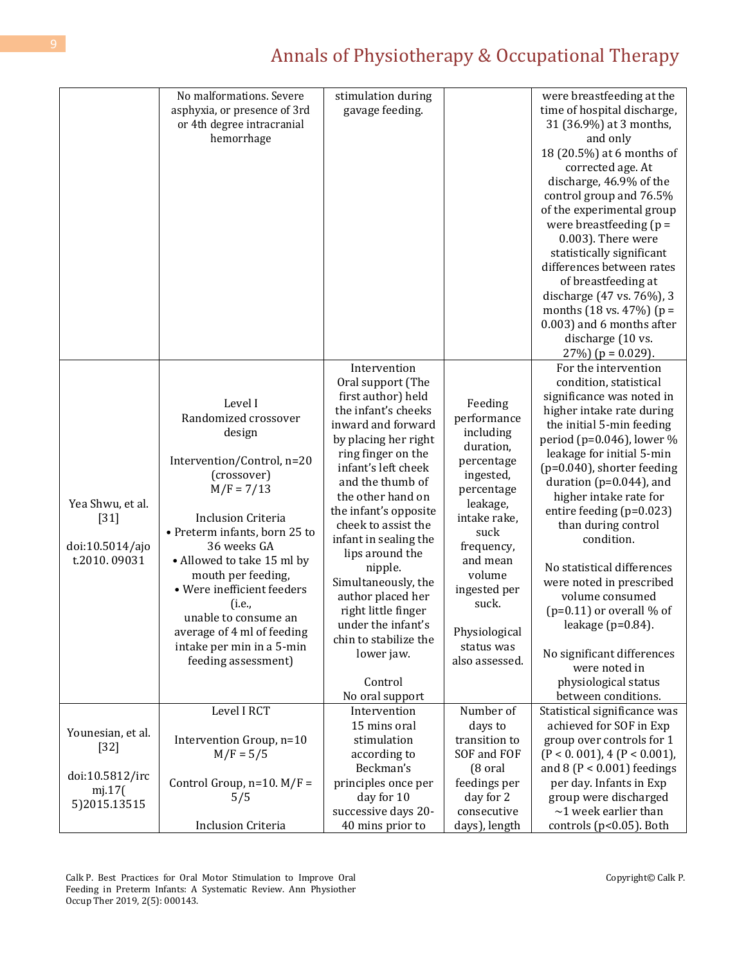|                                                               | No malformations. Severe<br>asphyxia, or presence of 3rd<br>or 4th degree intracranial<br>hemorrhage                                                                                                                                                                                                                                                                                      | stimulation during<br>gavage feeding.                                                                                                                                                                                                                                                                                                                                                                                                                                                   |                                                                                                                                                                                                                                             | were breastfeeding at the<br>time of hospital discharge,<br>31 (36.9%) at 3 months,<br>and only<br>18 (20.5%) at 6 months of<br>corrected age. At<br>discharge, 46.9% of the<br>control group and 76.5%<br>of the experimental group<br>were breastfeeding $(p =$<br>0.003). There were<br>statistically significant<br>differences between rates<br>of breastfeeding at<br>discharge (47 vs. 76%), 3<br>months $(18 \text{ vs. } 47\%)$ (p =<br>0.003) and 6 months after                                                                                                                   |
|---------------------------------------------------------------|-------------------------------------------------------------------------------------------------------------------------------------------------------------------------------------------------------------------------------------------------------------------------------------------------------------------------------------------------------------------------------------------|-----------------------------------------------------------------------------------------------------------------------------------------------------------------------------------------------------------------------------------------------------------------------------------------------------------------------------------------------------------------------------------------------------------------------------------------------------------------------------------------|---------------------------------------------------------------------------------------------------------------------------------------------------------------------------------------------------------------------------------------------|----------------------------------------------------------------------------------------------------------------------------------------------------------------------------------------------------------------------------------------------------------------------------------------------------------------------------------------------------------------------------------------------------------------------------------------------------------------------------------------------------------------------------------------------------------------------------------------------|
|                                                               |                                                                                                                                                                                                                                                                                                                                                                                           |                                                                                                                                                                                                                                                                                                                                                                                                                                                                                         |                                                                                                                                                                                                                                             | discharge (10 vs.<br>$27\%$ ) (p = 0.029).                                                                                                                                                                                                                                                                                                                                                                                                                                                                                                                                                   |
| Yea Shwu, et al.<br>$[31]$<br>doi:10.5014/ajo<br>t.2010.09031 | Level I<br>Randomized crossover<br>design<br>Intervention/Control, n=20<br>(crossover)<br>$M/F = 7/13$<br><b>Inclusion Criteria</b><br>• Preterm infants, born 25 to<br>36 weeks GA<br>• Allowed to take 15 ml by<br>mouth per feeding,<br>• Were inefficient feeders<br>(i.e.,<br>unable to consume an<br>average of 4 ml of feeding<br>intake per min in a 5-min<br>feeding assessment) | Intervention<br>Oral support (The<br>first author) held<br>the infant's cheeks<br>inward and forward<br>by placing her right<br>ring finger on the<br>infant's left cheek<br>and the thumb of<br>the other hand on<br>the infant's opposite<br>cheek to assist the<br>infant in sealing the<br>lips around the<br>nipple.<br>Simultaneously, the<br>author placed her<br>right little finger<br>under the infant's<br>chin to stabilize the<br>lower jaw.<br>Control<br>No oral support | Feeding<br>performance<br>including<br>duration,<br>percentage<br>ingested,<br>percentage<br>leakage,<br>intake rake,<br>suck<br>frequency,<br>and mean<br>volume<br>ingested per<br>suck.<br>Physiological<br>status was<br>also assessed. | For the intervention<br>condition, statistical<br>significance was noted in<br>higher intake rate during<br>the initial 5-min feeding<br>period (p=0.046), lower %<br>leakage for initial 5-min<br>$(p=0.040)$ , shorter feeding<br>duration ( $p=0.044$ ), and<br>higher intake rate for<br>entire feeding (p=0.023)<br>than during control<br>condition.<br>No statistical differences<br>were noted in prescribed<br>volume consumed<br>$(p=0.11)$ or overall % of<br>leakage ( $p=0.84$ ).<br>No significant differences<br>were noted in<br>physiological status<br>between conditions. |
|                                                               | Level I RCT                                                                                                                                                                                                                                                                                                                                                                               | Intervention<br>15 mins oral                                                                                                                                                                                                                                                                                                                                                                                                                                                            | Number of<br>days to                                                                                                                                                                                                                        | Statistical significance was<br>achieved for SOF in Exp                                                                                                                                                                                                                                                                                                                                                                                                                                                                                                                                      |
| Younesian, et al.<br>$[32]$                                   | Intervention Group, n=10<br>$M/F = 5/5$                                                                                                                                                                                                                                                                                                                                                   | stimulation<br>according to<br>Beckman's                                                                                                                                                                                                                                                                                                                                                                                                                                                | transition to<br>SOF and FOF<br>(8 oral                                                                                                                                                                                                     | group over controls for 1<br>$(P < 0.001)$ , 4 $(P < 0.001)$ ,<br>and $8 (P < 0.001)$ feedings                                                                                                                                                                                                                                                                                                                                                                                                                                                                                               |
| doi:10.5812/irc<br>mj.17(<br>5)2015.13515                     | Control Group, $n=10$ . $M/F =$<br>5/5                                                                                                                                                                                                                                                                                                                                                    | principles once per<br>day for 10<br>successive days 20-                                                                                                                                                                                                                                                                                                                                                                                                                                | feedings per<br>day for 2<br>consecutive                                                                                                                                                                                                    | per day. Infants in Exp<br>group were discharged<br>$\sim$ 1 week earlier than                                                                                                                                                                                                                                                                                                                                                                                                                                                                                                               |
|                                                               | <b>Inclusion Criteria</b>                                                                                                                                                                                                                                                                                                                                                                 | 40 mins prior to                                                                                                                                                                                                                                                                                                                                                                                                                                                                        | days), length                                                                                                                                                                                                                               | controls (p<0.05). Both                                                                                                                                                                                                                                                                                                                                                                                                                                                                                                                                                                      |

Calk P. Best Practices for Oral Motor Stimulation to Improve Oral Feeding in Preterm Infants: A Systematic Review. Ann Physiother Occup Ther 2019, 2(5): 000143.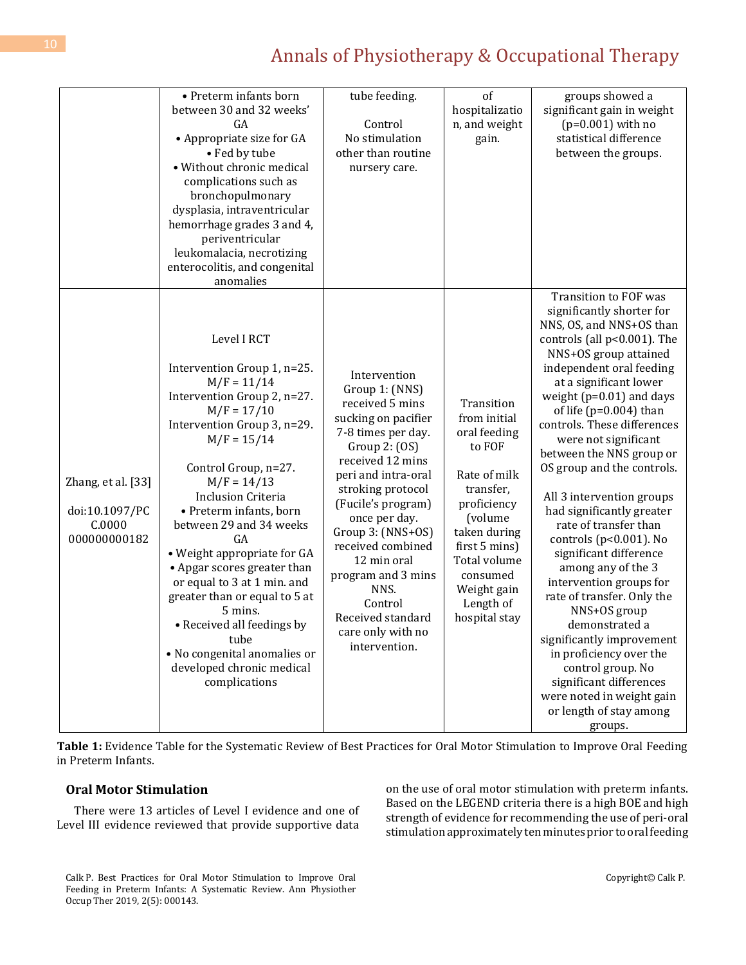|                                                                | • Preterm infants born<br>between 30 and 32 weeks'<br>GA<br>• Appropriate size for GA<br>• Fed by tube<br>· Without chronic medical<br>complications such as<br>bronchopulmonary<br>dysplasia, intraventricular<br>hemorrhage grades 3 and 4,<br>periventricular<br>leukomalacia, necrotizing<br>enterocolitis, and congenital<br>anomalies                                                                                                                                                                                                                | tube feeding.<br>Control<br>No stimulation<br>other than routine<br>nursery care.                                                                                                                                                                                                                                                                                                     | of<br>hospitalizatio<br>n, and weight<br>gain.                                                                                                                                                                        | groups showed a<br>significant gain in weight<br>$(p=0.001)$ with no<br>statistical difference<br>between the groups.                                                                                                                                                                                                                                                                                                                                                                                                                                                                                                                                                                                                                                                                                               |
|----------------------------------------------------------------|------------------------------------------------------------------------------------------------------------------------------------------------------------------------------------------------------------------------------------------------------------------------------------------------------------------------------------------------------------------------------------------------------------------------------------------------------------------------------------------------------------------------------------------------------------|---------------------------------------------------------------------------------------------------------------------------------------------------------------------------------------------------------------------------------------------------------------------------------------------------------------------------------------------------------------------------------------|-----------------------------------------------------------------------------------------------------------------------------------------------------------------------------------------------------------------------|---------------------------------------------------------------------------------------------------------------------------------------------------------------------------------------------------------------------------------------------------------------------------------------------------------------------------------------------------------------------------------------------------------------------------------------------------------------------------------------------------------------------------------------------------------------------------------------------------------------------------------------------------------------------------------------------------------------------------------------------------------------------------------------------------------------------|
| Zhang, et al. [33]<br>doi:10.1097/PC<br>C.0000<br>000000000182 | Level I RCT<br>Intervention Group 1, n=25.<br>$M/F = 11/14$<br>Intervention Group 2, n=27.<br>$M/F = 17/10$<br>Intervention Group 3, n=29.<br>$M/F = 15/14$<br>Control Group, n=27.<br>$M/F = 14/13$<br><b>Inclusion Criteria</b><br>• Preterm infants, born<br>between 29 and 34 weeks<br>GA<br>• Weight appropriate for GA<br>• Apgar scores greater than<br>or equal to 3 at 1 min. and<br>greater than or equal to 5 at<br>5 mins.<br>• Received all feedings by<br>tube<br>• No congenital anomalies or<br>developed chronic medical<br>complications | Intervention<br>Group 1: (NNS)<br>received 5 mins<br>sucking on pacifier<br>7-8 times per day.<br>Group $2: (OS)$<br>received 12 mins<br>peri and intra-oral<br>stroking protocol<br>(Fucile's program)<br>once per day.<br>Group 3: (NNS+OS)<br>received combined<br>12 min oral<br>program and 3 mins<br>NNS.<br>Control<br>Received standard<br>care only with no<br>intervention. | Transition<br>from initial<br>oral feeding<br>to FOF<br>Rate of milk<br>transfer,<br>proficiency<br>(volume<br>taken during<br>first 5 mins)<br>Total volume<br>consumed<br>Weight gain<br>Length of<br>hospital stay | <b>Transition to FOF was</b><br>significantly shorter for<br>NNS, OS, and NNS+OS than<br>controls (all p<0.001). The<br>NNS+OS group attained<br>independent oral feeding<br>at a significant lower<br>weight $(p=0.01)$ and days<br>of life ( $p=0.004$ ) than<br>controls. These differences<br>were not significant<br>between the NNS group or<br>OS group and the controls.<br>All 3 intervention groups<br>had significantly greater<br>rate of transfer than<br>controls (p<0.001). No<br>significant difference<br>among any of the 3<br>intervention groups for<br>rate of transfer. Only the<br>NNS+OS group<br>demonstrated a<br>significantly improvement<br>in proficiency over the<br>control group. No<br>significant differences<br>were noted in weight gain<br>or length of stay among<br>groups. |

**Table 1:** Evidence Table for the Systematic Review of Best Practices for Oral Motor Stimulation to Improve Oral Feeding in Preterm Infants.

### **Oral Motor Stimulation**

There were 13 articles of Level I evidence and one of Level III evidence reviewed that provide supportive data

on the use of oral motor stimulation with preterm infants. Based on the LEGEND criteria there is a high BOE and high strength of evidence for recommending the use of peri-oral stimulation approximately ten minutes prior to oral feeding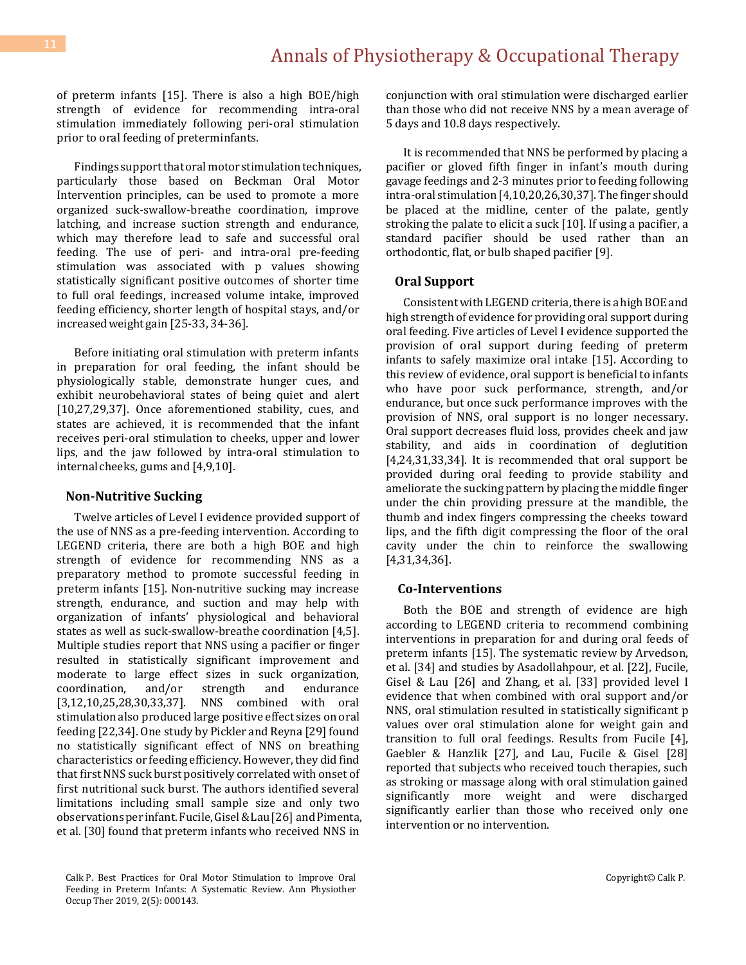of preterm infants [15]. There is also a high BOE/high strength of evidence for recommending intra-oral stimulation immediately following peri-oral stimulation prior to oral feeding of preterminfants.

Findings support that oral motor stimulation techniques, particularly those based on Beckman Oral Motor Intervention principles, can be used to promote a more organized suck-swallow-breathe coordination, improve latching, and increase suction strength and endurance, which may therefore lead to safe and successful oral feeding. The use of peri- and intra-oral pre-feeding stimulation was associated with p values showing statistically significant positive outcomes of shorter time to full oral feedings, increased volume intake, improved feeding efficiency, shorter length of hospital stays, and/or increasedweightgain [25-33, 34-36].

Before initiating oral stimulation with preterm infants in preparation for oral feeding, the infant should be physiologically stable, demonstrate hunger cues, and exhibit neurobehavioral states of being quiet and alert [10,27,29,37]. Once aforementioned stability, cues, and states are achieved, it is recommended that the infant receives peri-oral stimulation to cheeks, upper and lower lips, and the jaw followed by intra-oral stimulation to internal cheeks, gums and [4,9,10].

### **Non-Nutritive Sucking**

Twelve articles of Level I evidence provided support of the use of NNS as a pre-feeding intervention. According to LEGEND criteria, there are both a high BOE and high strength of evidence for recommending NNS as a preparatory method to promote successful feeding in preterm infants [15]. Non-nutritive sucking may increase strength, endurance, and suction and may help with organization of infants' physiological and behavioral states as well as suck-swallow-breathe coordination [4,5]. Multiple studies report that NNS using a pacifier or finger resulted in statistically significant improvement and moderate to large effect sizes in suck organization, coordination, and/or strength and endurance [3,12,10,25,28,30,33,37]. NNS combined with oral stimulation also produced large positive effect sizes on oral feeding [22,34]. One study by Pickler and Reyna [29] found no statistically significant effect of NNS on breathing characteristics or feeding efficiency. However, they did find that first NNS suck burst positively correlated with onset of first nutritional suck burst. The authors identified several limitations including small sample size and only two observationsper infant.Fucile,Gisel&Lau[26] andPimenta, et al. [30] found that preterm infants who received NNS in conjunction with oral stimulation were discharged earlier than those who did not receive NNS by a mean average of 5 days and 10.8 days respectively.

It is recommended that NNS be performed by placing a pacifier or gloved fifth finger in infant's mouth during gavage feedings and 2-3 minutes prior to feeding following intra-oral stimulation [4,10,20,26,30,37]. The finger should be placed at the midline, center of the palate, gently stroking the palate to elicit a suck [10]. If using a pacifier, a standard pacifier should be used rather than an orthodontic, flat, or bulb shaped pacifier [9].

### **Oral Support**

Consistent with LEGEND criteria, there is a high BOE and high strength of evidence for providing oral support during oral feeding. Five articles of Level I evidence supported the provision of oral support during feeding of preterm infants to safely maximize oral intake [15]. According to this review of evidence, oral support is beneficial to infants who have poor suck performance, strength, and/or endurance, but once suck performance improves with the provision of NNS, oral support is no longer necessary. Oral support decreases fluid loss, provides cheek and jaw stability, and aids in coordination of deglutition [4,24,31,33,34]. It is recommended that oral support be provided during oral feeding to provide stability and ameliorate the sucking pattern by placing the middle finger under the chin providing pressure at the mandible, the thumb and index fingers compressing the cheeks toward lips, and the fifth digit compressing the floor of the oral cavity under the chin to reinforce the swallowing [4,31,34,36].

#### **Co-Interventions**

Both the BOE and strength of evidence are high according to LEGEND criteria to recommend combining interventions in preparation for and during oral feeds of preterm infants [15]. The systematic review by Arvedson, et al. [34] and studies by Asadollahpour, et al. [22], Fucile, Gisel & Lau [26] and Zhang, et al. [33] provided level I evidence that when combined with oral support and/or NNS, oral stimulation resulted in statistically significant p values over oral stimulation alone for weight gain and transition to full oral feedings. Results from Fucile [4], Gaebler & Hanzlik [27], and Lau, Fucile & Gisel [28] reported that subjects who received touch therapies, such as stroking or massage along with oral stimulation gained significantly more weight and were discharged significantly earlier than those who received only one intervention or no intervention.

Calk P. Best Practices for Oral Motor Stimulation to Improve Oral Feeding in Preterm Infants: A Systematic Review. Ann Physiother Occup Ther 2019, 2(5): 000143.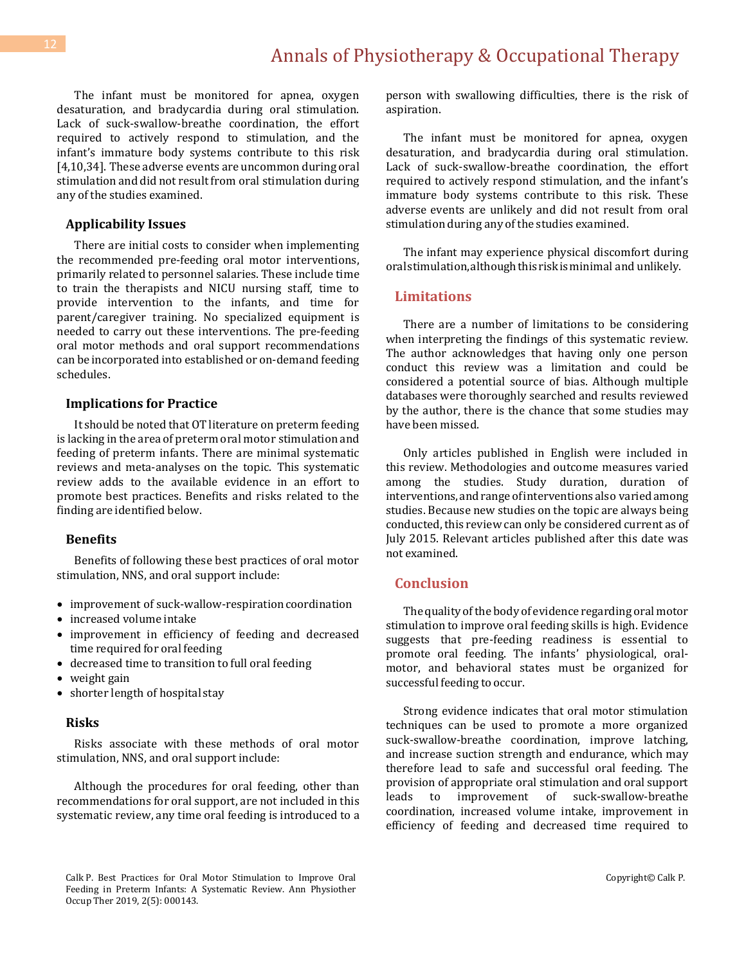The infant must be monitored for apnea, oxygen desaturation, and bradycardia during oral stimulation. Lack of suck-swallow-breathe coordination, the effort required to actively respond to stimulation, and the infant's immature body systems contribute to this risk [4,10,34]. These adverse events are uncommon during oral stimulation and did not result from oral stimulation during any of the studies examined.

#### **Applicability Issues**

There are initial costs to consider when implementing the recommended pre-feeding oral motor interventions, primarily related to personnel salaries. These include time to train the therapists and NICU nursing staff, time to provide intervention to the infants, and time for parent/caregiver training. No specialized equipment is needed to carry out these interventions. The pre-feeding oral motor methods and oral support recommendations can be incorporated into established or on-demand feeding schedules.

#### **Implications for Practice**

It should be noted that OT literature on preterm feeding is lacking in the area of preterm oral motor stimulation and feeding of preterm infants. There are minimal systematic reviews and meta-analyses on the topic. This systematic review adds to the available evidence in an effort to promote best practices. Benefits and risks related to the finding are identified below.

#### **Benefits**

Benefits of following these best practices of oral motor stimulation, NNS, and oral support include:

- improvement of suck-wallow-respiration coordination
- increased volume intake
- improvement in efficiency of feeding and decreased time required for oral feeding
- decreased time to transition to full oral feeding
- weight gain
- shorter length of hospital stay

#### **Risks**

Risks associate with these methods of oral motor stimulation, NNS, and oral support include:

Although the procedures for oral feeding, other than recommendations for oral support, are not included in this systematic review, any time oral feeding is introduced to a

person with swallowing difficulties, there is the risk of aspiration.

The infant must be monitored for apnea, oxygen desaturation, and bradycardia during oral stimulation. Lack of suck-swallow-breathe coordination, the effort required to actively respond stimulation, and the infant's immature body systems contribute to this risk. These adverse events are unlikely and did not result from oral stimulation during any of the studies examined.

The infant may experience physical discomfort during oralstimulation,althoughthisriskisminimal and unlikely.

### **Limitations**

There are a number of limitations to be considering when interpreting the findings of this systematic review. The author acknowledges that having only one person conduct this review was a limitation and could be considered a potential source of bias. Although multiple databases were thoroughly searched and results reviewed by the author, there is the chance that some studies may have been missed.

Only articles published in English were included in this review. Methodologies and outcome measures varied among the studies. Study duration, duration of interventions, and range of interventions also varied among studies. Because new studies on the topic are always being conducted, this review can only be considered current as of July 2015. Relevant articles published after this date was not examined.

### **Conclusion**

The quality of the body of evidence regarding oral motor stimulation to improve oral feeding skills is high. Evidence suggests that pre-feeding readiness is essential to promote oral feeding. The infants' physiological, oralmotor, and behavioral states must be organized for successful feeding to occur.

Strong evidence indicates that oral motor stimulation techniques can be used to promote a more organized suck-swallow-breathe coordination, improve latching, and increase suction strength and endurance, which may therefore lead to safe and successful oral feeding. The provision of appropriate oral stimulation and oral support leads to improvement of suck-swallow-breathe coordination, increased volume intake, improvement in efficiency of feeding and decreased time required to

Calk P. Best Practices for Oral Motor Stimulation to Improve Oral Feeding in Preterm Infants: A Systematic Review. Ann Physiother Occup Ther 2019, 2(5): 000143.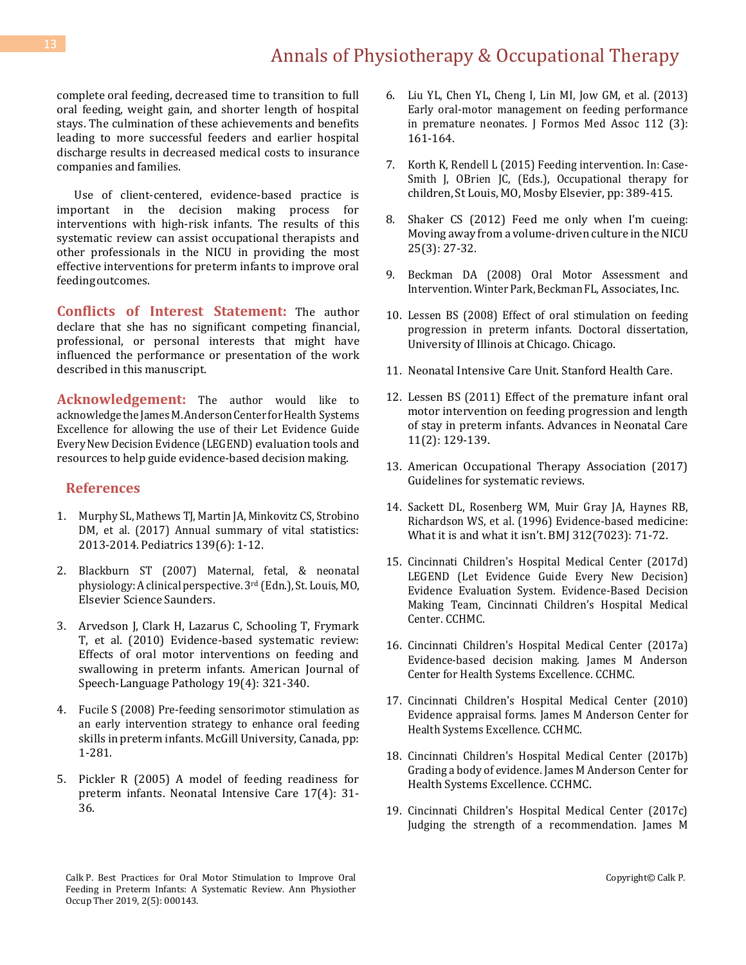complete oral feeding, decreased time to transition to full oral feeding, weight gain, and shorter length of hospital stays. The culmination of these achievements and benefits leading to more successful feeders and earlier hospital discharge results in decreased medical costs to insurance companies and families.

Use of client-centered, evidence-based practice is important in the decision making process for interventions with high-risk infants. The results of this systematic review can assist occupational therapists and other professionals in the NICU in providing the most effective interventions for preterm infants to improve oral feeding outcomes.

**Conflicts of Interest Statement:** The author declare that she has no significant competing financial, professional, or personal interests that might have influenced the performance or presentation of the work described in this manuscript.

**Acknowledgement:** The author would like to acknowledge the James M. Anderson Center for Health Systems Excellence for allowing the use of their Let Evidence Guide EveryNewDecision Evidence (LEGEND) evaluation tools and resources to help guide evidence-based decision making.

### **References**

- 1. Murphy SL, Mathews TJ, Martin JA, Minkovitz [CS, Strobino](https://pediatrics.aappublications.org/content/139/6/e20163239) DM, et al. (2017) Annual summary of [vital statistics:](https://pediatrics.aappublications.org/content/139/6/e20163239) [2013-2014.](https://pediatrics.aappublications.org/content/139/6/e20163239) Pediatrics 139(6): 1-12.
- 2. Blackburn ST (2007) Maternal, fetal, & neonatal physiology: A clinical perspective. 3rd (Edn.), St. Louis, MO, Elsevier Science Saunders.
- 3. [Arvedson J, Clark H, Lazarus C, Schooling T, Frymark](https://pubs.asha.org/doi/10.1044/1058-0360(2010/09-0067))  [T, et al. \(2010\) Evidence-based systematic review:](https://pubs.asha.org/doi/10.1044/1058-0360(2010/09-0067))  [Effects of oral motor interventions on feeding and](https://pubs.asha.org/doi/10.1044/1058-0360(2010/09-0067))  [swallowing in preterm infants. American Journal of](https://pubs.asha.org/doi/10.1044/1058-0360(2010/09-0067))  [Speech-Language Pathology 19\(4\): 321-340.](https://pubs.asha.org/doi/10.1044/1058-0360(2010/09-0067))
- 4. Fucile S (2008) Pre-feeding [sensorimotor](https://pdfs.semanticscholar.org/90d4/576e2bbc27adc4ab8f90c825ddb89f12de12.pdf) stimulation as an early [intervention](https://pdfs.semanticscholar.org/90d4/576e2bbc27adc4ab8f90c825ddb89f12de12.pdf) strategy to enhance oral feeding skills in preterm infants. McGill University, [Canada, pp:](https://pdfs.semanticscholar.org/90d4/576e2bbc27adc4ab8f90c825ddb89f12de12.pdf)  [1-281.](https://pdfs.semanticscholar.org/90d4/576e2bbc27adc4ab8f90c825ddb89f12de12.pdf)
- 5. [Pickler R \(2005\) A model of feeding readiness for](https://www.ncbi.nlm.nih.gov/pmc/articles/PMC1317102/)  [preterm infants. Neonatal Intensive Care 17\(4\): 31-](https://www.ncbi.nlm.nih.gov/pmc/articles/PMC1317102/) [36.](https://www.ncbi.nlm.nih.gov/pmc/articles/PMC1317102/)
- 6. Liu YL, Chen YL, Cheng [I, Lin MI, Jow GM, et al. \(2013\)](https://www.ncbi.nlm.nih.gov/pubmed/23473529)  [Early oral-motor management on feeding performance](https://www.ncbi.nlm.nih.gov/pubmed/23473529)  [in premature neonates. J Formos Med Assoc 112 \(3\):](https://www.ncbi.nlm.nih.gov/pubmed/23473529)  [161-164.](https://www.ncbi.nlm.nih.gov/pubmed/23473529)
- 7. Korth K, Rendell L (2015) Feeding intervention. In: Case-Smith J, OBrien JC, (Eds.), Occupational therapy for children, St Louis, MO, Mosby Elsevier, pp: 389-415.
- 8. Shaker CS (2012) Feed me only when I'm cueing: Moving away from a volume-driven culture in the NICU 25(3): 27-32.
- 9. Beckman DA (2008) Oral Motor Assessment and Intervention. Winter Park, Beckman FL, Associates, Inc.
- 10. Lessen BS (2008) Effect of oral stimulation on feeding progression in preterm infants. Doctoral dissertation, University of Illinois at Chicago. Chicago.
- 11. [Neonatal Intensive Care Unit. Stanford Health Care.](https://www.stanfordchildrens.org/en/topic/default?id=the-neonatal-intensive-care-unit-nicu-90-P02389)
- 12. Lessen BS (2011) Effect of the [premature](https://europepmc.org/abstract/med/21730902) infant oral motor [intervention](https://europepmc.org/abstract/med/21730902) on feeding progression and length [of stay in preterm infants. Advances in Neonatal Care](https://europepmc.org/abstract/med/21730902)  [11\(2\): 129-139.](https://europepmc.org/abstract/med/21730902)
- 13. [American Occupational Therapy Association \(2017\)](https://www.aota.org/Publications-News/AmericanJournalOfOccupationalTherapy.aspx)  [Guidelines for systematic reviews.](https://www.aota.org/Publications-News/AmericanJournalOfOccupationalTherapy.aspx)
- 14. Sackett DL, [Rosenberg](https://www.ncbi.nlm.nih.gov/pubmed/8555924) WM, Muir Gray JA, Haynes RB, Richardson WS, et al. (1996) [Evidence-based medicine:](https://www.ncbi.nlm.nih.gov/pubmed/8555924)  What it is and [what it isn't. BMJ 312\(7023\): 71](https://www.ncbi.nlm.nih.gov/pubmed/8555924)-72.
- 15. Cincinnati [Children's](https://www.cincinnatichildrens.org/service/j/anderson-center/evidence-based-%20care/legend) Hospital Medical Center (2017d) LEGEND (Let Evidence Guide Every New [Decision\)](https://www.cincinnatichildrens.org/service/j/anderson-center/evidence-based-%20care/legend)  Evidence Evaluation System. [Evidence-Based](https://www.cincinnatichildrens.org/service/j/anderson-center/evidence-based-%20care/legend) Decision Making Team, Cincinnati Children's [Hospital Medical](https://www.cincinnatichildrens.org/service/j/anderson-center/evidence-based-%20care/legend)  [Center. CCHMC.](https://www.cincinnatichildrens.org/service/j/anderson-center/evidence-based-%20care/legend)
- 16. [Cincinnati Children's Hospital Medical Center \(2017a\)](https://www.cincinnatichildrens.org/service/j/anderson-center/evidence-based-care)  [Evidence-based decision making. James M Anderson](https://www.cincinnatichildrens.org/service/j/anderson-center/evidence-based-care)  [Center for Health Systems Excellence. CCHMC.](https://www.cincinnatichildrens.org/service/j/anderson-center/evidence-based-care)
- 17. Cincinnati [Children's](https://www.cincinnatichildrens.org/service/j/anderson-%20center/evidence-based-care/legend) Hospital Medical Center (2010) Evidence appraisal forms. James M [Anderson](https://www.cincinnatichildrens.org/service/j/anderson-%20center/evidence-based-care/legend) Center for [Health Systems Excellence. CCHMC.](https://www.cincinnatichildrens.org/service/j/anderson-%20center/evidence-based-care/legend)
- 18. Cincinnati [Children's](https://www.cincinnatichildrens.org/service/j/anderson-%20center/evidence-based-care/legend) Hospital Medical Center (2017b) Grading a body of evidence. James M Anderson [Center for](https://www.cincinnatichildrens.org/service/j/anderson-%20center/evidence-based-care/legend)  [Health Systems Excellence. CCHMC.](https://www.cincinnatichildrens.org/service/j/anderson-%20center/evidence-based-care/legend)
- 19. [Cincinnati Children's Hospital Medical Center \(2017c\)](https://www.cincinnatichildrens.org/service/j/anderson-%20center/evidence-based-care/legend)  [Judging the strength of a recommendation. James M](https://www.cincinnatichildrens.org/service/j/anderson-%20center/evidence-based-care/legend)